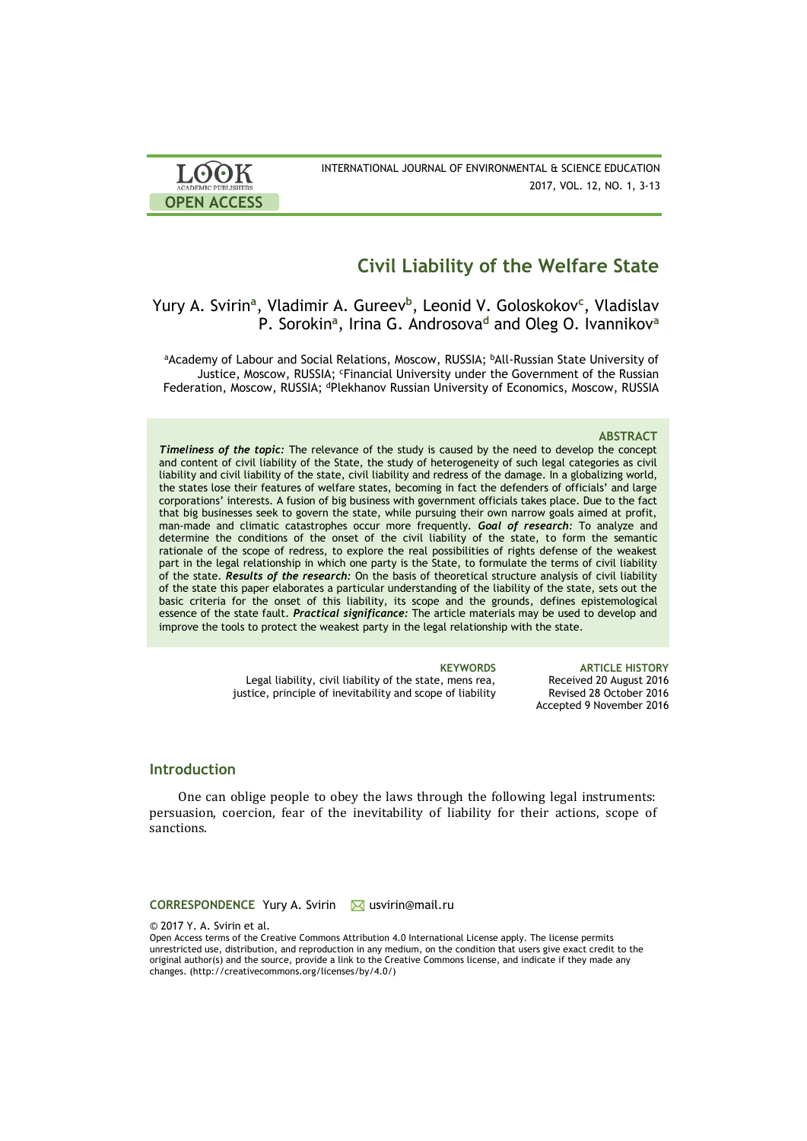| <b>LOOK</b>                | INTERNATIONAL JOURNAL OF ENVIRONMENTAL & SCIENCE EDUCATION |
|----------------------------|------------------------------------------------------------|
| <b>ACADEMIC PUBLISHERS</b> | 2017, VOL. 12, NO. 1, 3-13                                 |
| <b>OPEN ACCESS</b>         |                                                            |

# **Civil Liability of the Welfare State**

## Yury A. Svirin**<sup>a</sup>** , Vladimir A. Gureev**<sup>b</sup>** , Leonid V. Goloskokov**<sup>c</sup>** , Vladislav P. Sorokin**<sup>a</sup>** , Irina G. Androsova**<sup>d</sup>** and Oleg O. Ivannikov**<sup>a</sup>**

aAcademy of Labour and Social Relations, Moscow, RUSSIA; <sup>b</sup>All-Russian State University of Justice, Moscow, RUSSIA; <sup>c</sup>Financial University under the Government of the Russian Federation, Moscow, RUSSIA; <sup>d</sup>Plekhanov Russian University of Economics, Moscow, RUSSIA

### **ABSTRACT**

*Timeliness of the topic:* The relevance of the study is caused by the need to develop the concept and content of civil liability of the State, the study of heterogeneity of such legal categories as civil liability and civil liability of the state, civil liability and redress of the damage. In a globalizing world, the states lose their features of welfare states, becoming in fact the defenders of officials' and large corporations' interests. A fusion of big business with government officials takes place. Due to the fact that big businesses seek to govern the state, while pursuing their own narrow goals aimed at profit, man-made and climatic catastrophes occur more frequently. *Goal of research:* To analyze and determine the conditions of the onset of the civil liability of the state, to form the semantic rationale of the scope of redress, to explore the real possibilities of rights defense of the weakest part in the legal relationship in which one party is the State, to formulate the terms of civil liability of the state. *Results of the research:* On the basis of theoretical structure analysis of civil liability of the state this paper elaborates a particular understanding of the liability of the state, sets out the basic criteria for the onset of this liability, its scope and the grounds, defines epistemological essence of the state fault. *Practical significance:* The article materials may be used to develop and improve the tools to protect the weakest party in the legal relationship with the state.

Legal liability, civil liability of the state, mens rea,

**KEYWORDS ARTICLE HISTORY** Received 20 August 2016 Revised 28 October 2016 Accepted 9 November 2016

### **Introduction**

One can oblige people to obey the laws through the following legal instruments: persuasion, coercion, fear of the inevitability of liability for their actions, scope of sanctions.

justice, principle of inevitability and scope of liability

**CORRESPONDENCE** Yury A. Svirin Musvirin@mail.ru

© 2017 Y. A. Svirin et al.

Open Access terms of the Creative Commons Attribution 4.0 International License apply. The license permits unrestricted use, distribution, and reproduction in any medium, on the condition that users give exact credit to the original author(s) and the source, provide a link to the Creative Commons license, and indicate if they made any changes. (http://creativecommons.org/licenses/by/4.0/)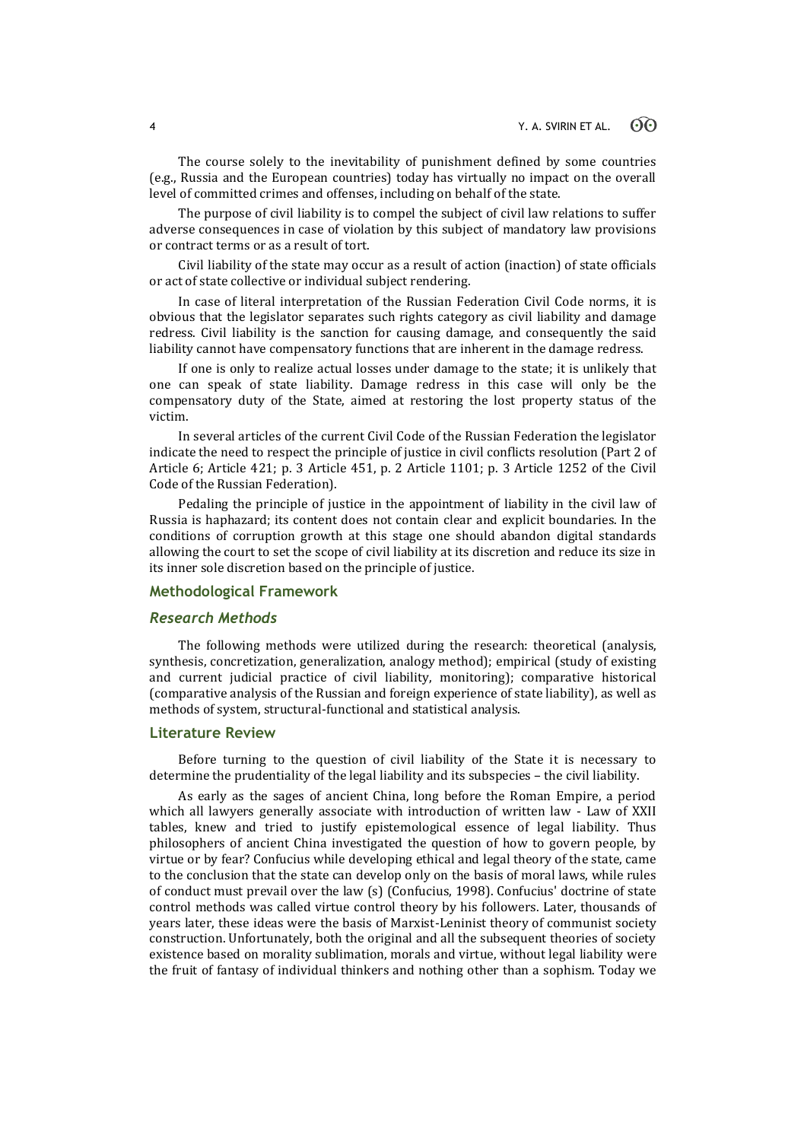The course solely to the inevitability of punishment defined by some countries (e.g., Russia and the European countries) today has virtually no impact on the overall level of committed crimes and offenses, including on behalf of the state.

The purpose of civil liability is to compel the subject of civil law relations to suffer adverse consequences in case of violation by this subject of mandatory law provisions or contract terms or as a result of tort.

Civil liability of the state may occur as a result of action (inaction) of state officials or act of state collective or individual subject rendering.

In case of literal interpretation of the Russian Federation Civil Code norms, it is obvious that the legislator separates such rights category as civil liability and damage redress. Civil liability is the sanction for causing damage, and consequently the said liability cannot have compensatory functions that are inherent in the damage redress.

If one is only to realize actual losses under damage to the state; it is unlikely that one can speak of state liability. Damage redress in this case will only be the compensatory duty of the State, aimed at restoring the lost property status of the victim.

In several articles of the current Civil Code of the Russian Federation the legislator indicate the need to respect the principle of justice in civil conflicts resolution (Part 2 of Article 6; Article 421; p. 3 Article 451, p. 2 Article 1101; p. 3 Article 1252 of the Civil Code of the Russian Federation).

Pedaling the principle of justice in the appointment of liability in the civil law of Russia is haphazard; its content does not contain clear and explicit boundaries. In the conditions of corruption growth at this stage one should abandon digital standards allowing the court to set the scope of civil liability at its discretion and reduce its size in its inner sole discretion based on the principle of justice.

### **Methodological Framework**

### *Research Methods*

The following methods were utilized during the research: theoretical (analysis, synthesis, concretization, generalization, analogy method); empirical (study of existing and current judicial practice of civil liability, monitoring); comparative historical (comparative analysis of the Russian and foreign experience of state liability), as well as methods of system, structural-functional and statistical analysis.

### **Literature Review**

Before turning to the question of civil liability of the State it is necessary to determine the prudentiality of the legal liability and its subspecies – the civil liability.

As early as the sages of ancient China, long before the Roman Empire, a period which all lawyers generally associate with introduction of written law - Law of XXII tables, knew and tried to justify epistemological essence of legal liability. Thus philosophers of ancient China investigated the question of how to govern people, by virtue or by fear? Confucius while developing ethical and legal theory of the state, came to the conclusion that the state can develop only on the basis of moral laws, while rules of conduct must prevail over the law (s) (Confucius, 1998). Confucius' doctrine of state control methods was called virtue control theory by his followers. Later, thousands of years later, these ideas were the basis of Marxist-Leninist theory of communist society construction. Unfortunately, both the original and all the subsequent theories of society existence based on morality sublimation, morals and virtue, without legal liability were the fruit of fantasy of individual thinkers and nothing other than a sophism. Today we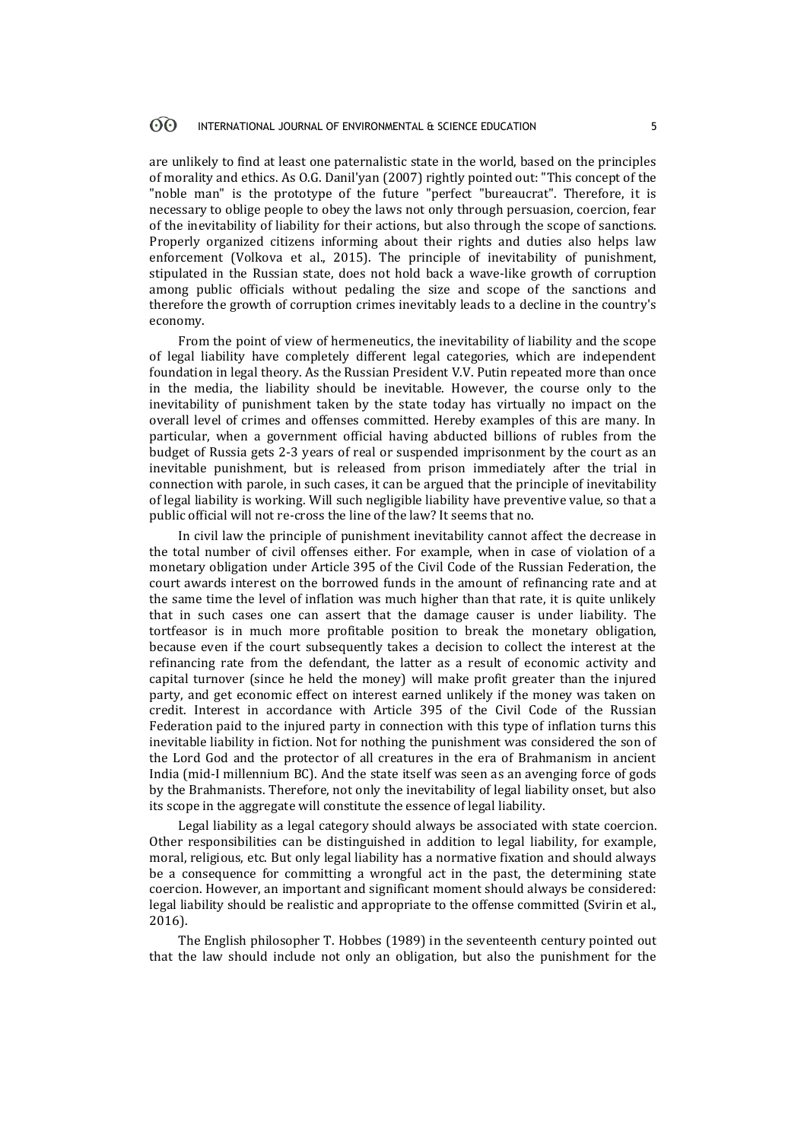#### 60 INTERNATIONAL JOURNAL OF ENVIRONMENTAL & SCIENCE EDUCATION 5

are unlikely to find at least one paternalistic state in the world, based on the principles of morality and ethics. As O.G. Danil'yan (2007) rightly pointed out: "This concept of the "noble man" is the prototype of the future "perfect "bureaucrat". Therefore, it is necessary to oblige people to obey the laws not only through persuasion, coercion, fear of the inevitability of liability for their actions, but also through the scope of sanctions. Properly organized citizens informing about their rights and duties also helps law enforcement (Volkova et al., 2015). The principle of inevitability of punishment, stipulated in the Russian state, does not hold back a wave-like growth of corruption among public officials without pedaling the size and scope of the sanctions and therefore the growth of corruption crimes inevitably leads to a decline in the country's economy.

From the point of view of hermeneutics, the inevitability of liability and the scope of legal liability have completely different legal categories, which are independent foundation in legal theory. As the Russian President V.V. Putin repeated more than once in the media, the liability should be inevitable. However, the course only to the inevitability of punishment taken by the state today has virtually no impact on the overall level of crimes and offenses committed. Hereby examples of this are many. In particular, when a government official having abducted billions of rubles from the budget of Russia gets 2-3 years of real or suspended imprisonment by the court as an inevitable punishment, but is released from prison immediately after the trial in connection with parole, in such cases, it can be argued that the principle of inevitability of legal liability is working. Will such negligible liability have preventive value, so that a public official will not re-cross the line of the law? It seems that no.

In civil law the principle of punishment inevitability cannot affect the decrease in the total number of civil offenses either. For example, when in case of violation of a monetary obligation under Article 395 of the Civil Code of the Russian Federation, the court awards interest on the borrowed funds in the amount of refinancing rate and at the same time the level of inflation was much higher than that rate, it is quite unlikely that in such cases one can assert that the damage causer is under liability. The tortfeasor is in much more profitable position to break the monetary obligation, because even if the court subsequently takes a decision to collect the interest at the refinancing rate from the defendant, the latter as a result of economic activity and capital turnover (since he held the money) will make profit greater than the injured party, and get economic effect on interest earned unlikely if the money was taken on credit. Interest in accordance with Article 395 of the Civil Code of the Russian Federation paid to the injured party in connection with this type of inflation turns this inevitable liability in fiction. Not for nothing the punishment was considered the son of the Lord God and the protector of all creatures in the era of Brahmanism in ancient India (mid-I millennium BC). And the state itself was seen as an avenging force of gods by the Brahmanists. Therefore, not only the inevitability of legal liability onset, but also its scope in the aggregate will constitute the essence of legal liability.

Legal liability as a legal category should always be associated with state coercion. Other responsibilities can be distinguished in addition to legal liability, for example, moral, religious, etc. But only legal liability has a normative fixation and should always be a consequence for committing a wrongful act in the past, the determining state coercion. However, an important and significant moment should always be considered: legal liability should be realistic and appropriate to the offense committed (Svirin et al., 2016).

The English philosopher T. Hobbes (1989) in the seventeenth century pointed out that the law should include not only an obligation, but also the punishment for the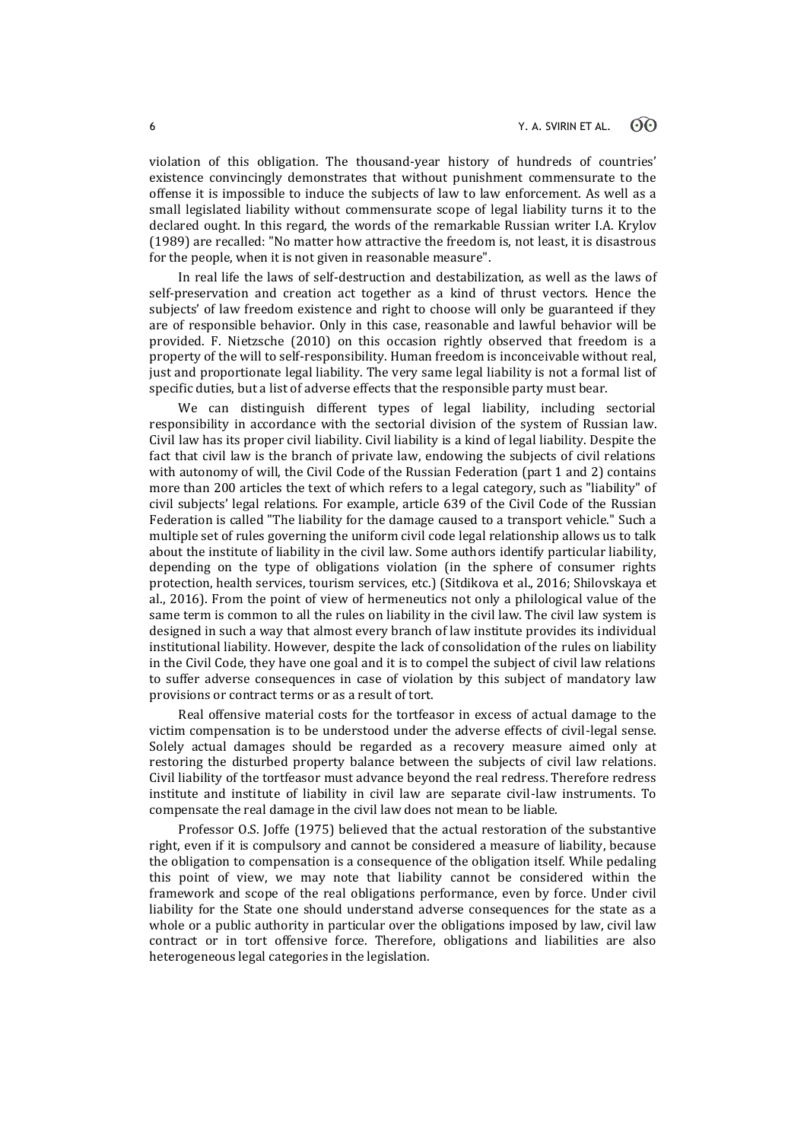violation of this obligation. The thousand-year history of hundreds of countries' existence convincingly demonstrates that without punishment commensurate to the offense it is impossible to induce the subjects of law to law enforcement. As well as a small legislated liability without commensurate scope of legal liability turns it to the declared ought. In this regard, the words of the remarkable Russian writer I.A. Krylov (1989) are recalled: "No matter how attractive the freedom is, not least, it is disastrous for the people, when it is not given in reasonable measure".

In real life the laws of self-destruction and destabilization, as well as the laws of self-preservation and creation act together as a kind of thrust vectors. Hence the subjects' of law freedom existence and right to choose will only be guaranteed if they are of responsible behavior. Only in this case, reasonable and lawful behavior will be provided. F. Nietzsche (2010) on this occasion rightly observed that freedom is a property of the will to self-responsibility. Human freedom is inconceivable without real, just and proportionate legal liability. The very same legal liability is not a formal list of specific duties, but a list of adverse effects that the responsible party must bear.

We can distinguish different types of legal liability, including sectorial responsibility in accordance with the sectorial division of the system of Russian law. Civil law has its proper civil liability. Civil liability is a kind of legal liability. Despite the fact that civil law is the branch of private law, endowing the subjects of civil relations with autonomy of will, the Civil Code of the Russian Federation (part 1 and 2) contains more than 200 articles the text of which refers to a legal category, such as "liability" of civil subjects' legal relations. For example, article 639 of the Civil Code of the Russian Federation is called "The liability for the damage caused to a transport vehicle." Such a multiple set of rules governing the uniform civil code legal relationship allows us to talk about the institute of liability in the civil law. Some authors identify particular liability, depending on the type of obligations violation (in the sphere of consumer rights protection, health services, tourism services, etc.) (Sitdikova et al., 2016; Shilovskaya et al., 2016). From the point of view of hermeneutics not only a philological value of the same term is common to all the rules on liability in the civil law. The civil law system is designed in such a way that almost every branch of law institute provides its individual institutional liability. However, despite the lack of consolidation of the rules on liability in the Civil Code, they have one goal and it is to compel the subject of civil law relations to suffer adverse consequences in case of violation by this subject of mandatory law provisions or contract terms or as a result of tort.

Real offensive material costs for the tortfeasor in excess of actual damage to the victim compensation is to be understood under the adverse effects of civil-legal sense. Solely actual damages should be regarded as a recovery measure aimed only at restoring the disturbed property balance between the subjects of civil law relations. Civil liability of the tortfeasor must advance beyond the real redress. Therefore redress institute and institute of liability in civil law are separate civil-law instruments. To compensate the real damage in the civil law does not mean to be liable.

Professor O.S. Joffe (1975) believed that the actual restoration of the substantive right, even if it is compulsory and cannot be considered a measure of liability, because the obligation to compensation is a consequence of the obligation itself. While pedaling this point of view, we may note that liability cannot be considered within the framework and scope of the real obligations performance, even by force. Under civil liability for the State one should understand adverse consequences for the state as a whole or a public authority in particular over the obligations imposed by law, civil law contract or in tort offensive force. Therefore, obligations and liabilities are also heterogeneous legal categories in the legislation.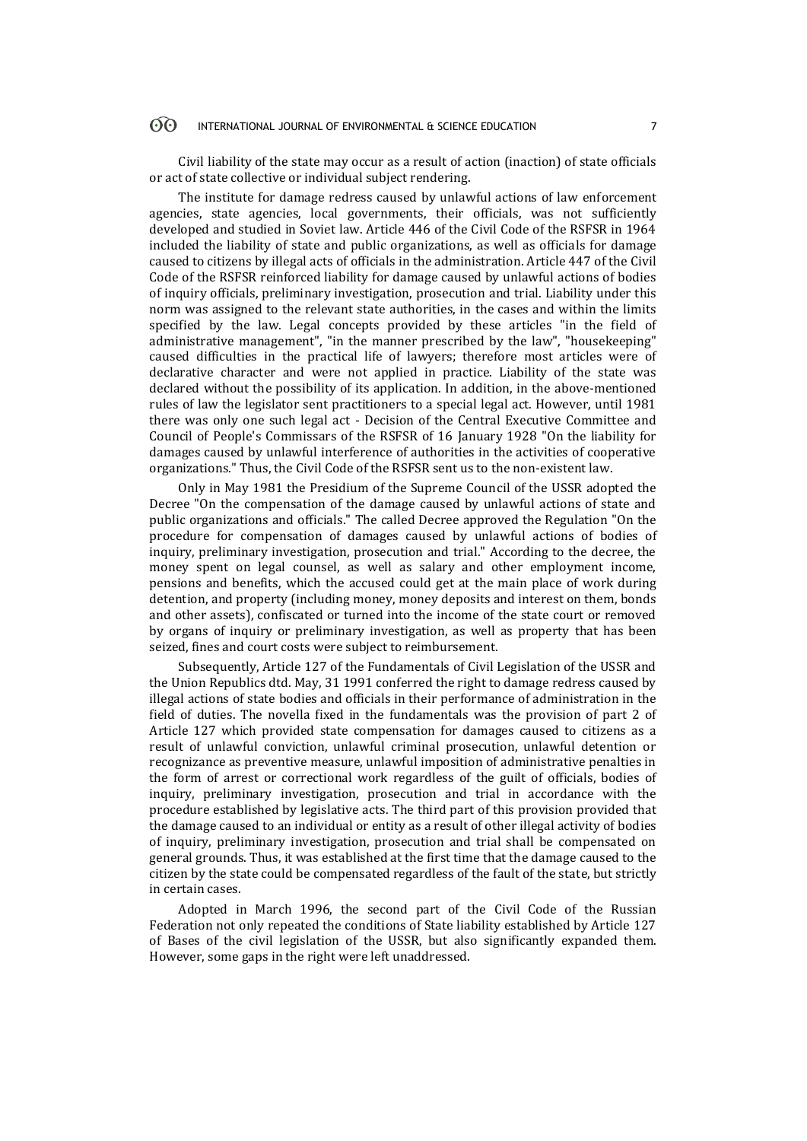#### $\odot$ INTERNATIONAL JOURNAL OF ENVIRONMENTAL & SCIENCE EDUCATION 7

Civil liability of the state may occur as a result of action (inaction) of state officials or act of state collective or individual subject rendering.

The institute for damage redress caused by unlawful actions of law enforcement agencies, state agencies, local governments, their officials, was not sufficiently developed and studied in Soviet law. Article 446 of the Civil Code of the RSFSR in 1964 included the liability of state and public organizations, as well as officials for damage caused to citizens by illegal acts of officials in the administration. Article 447 of the Civil Code of the RSFSR reinforced liability for damage caused by unlawful actions of bodies of inquiry officials, preliminary investigation, prosecution and trial. Liability under this norm was assigned to the relevant state authorities, in the cases and within the limits specified by the law. Legal concepts provided by these articles "in the field of administrative management", "in the manner prescribed by the law", "housekeeping" caused difficulties in the practical life of lawyers; therefore most articles were of declarative character and were not applied in practice. Liability of the state was declared without the possibility of its application. In addition, in the above-mentioned rules of law the legislator sent practitioners to a special legal act. However, until 1981 there was only one such legal act - Decision of the Central Executive Committee and Council of People's Commissars of the RSFSR of 16 January 1928 "On the liability for damages caused by unlawful interference of authorities in the activities of cooperative organizations." Thus, the Civil Code of the RSFSR sent us to the non-existent law.

Only in May 1981 the Presidium of the Supreme Council of the USSR adopted the Decree "On the compensation of the damage caused by unlawful actions of state and public organizations and officials." The called Decree approved the Regulation "On the procedure for compensation of damages caused by unlawful actions of bodies of inquiry, preliminary investigation, prosecution and trial." According to the decree, the money spent on legal counsel, as well as salary and other employment income, pensions and benefits, which the accused could get at the main place of work during detention, and property (including money, money deposits and interest on them, bonds and other assets), confiscated or turned into the income of the state court or removed by organs of inquiry or preliminary investigation, as well as property that has been seized, fines and court costs were subject to reimbursement.

Subsequently, Article 127 of the Fundamentals of Civil Legislation of the USSR and the Union Republics dtd. May, 31 1991 conferred the right to damage redress caused by illegal actions of state bodies and officials in their performance of administration in the field of duties. The novella fixed in the fundamentals was the provision of part 2 of Article 127 which provided state compensation for damages caused to citizens as a result of unlawful conviction, unlawful criminal prosecution, unlawful detention or recognizance as preventive measure, unlawful imposition of administrative penalties in the form of arrest or correctional work regardless of the guilt of officials, bodies of inquiry, preliminary investigation, prosecution and trial in accordance with the procedure established by legislative acts. The third part of this provision provided that the damage caused to an individual or entity as a result of other illegal activity of bodies of inquiry, preliminary investigation, prosecution and trial shall be compensated on general grounds. Thus, it was established at the first time that the damage caused to the citizen by the state could be compensated regardless of the fault of the state, but strictly in certain cases.

Adopted in March 1996, the second part of the Civil Code of the Russian Federation not only repeated the conditions of State liability established by Article 127 of Bases of the civil legislation of the USSR, but also significantly expanded them. However, some gaps in the right were left unaddressed.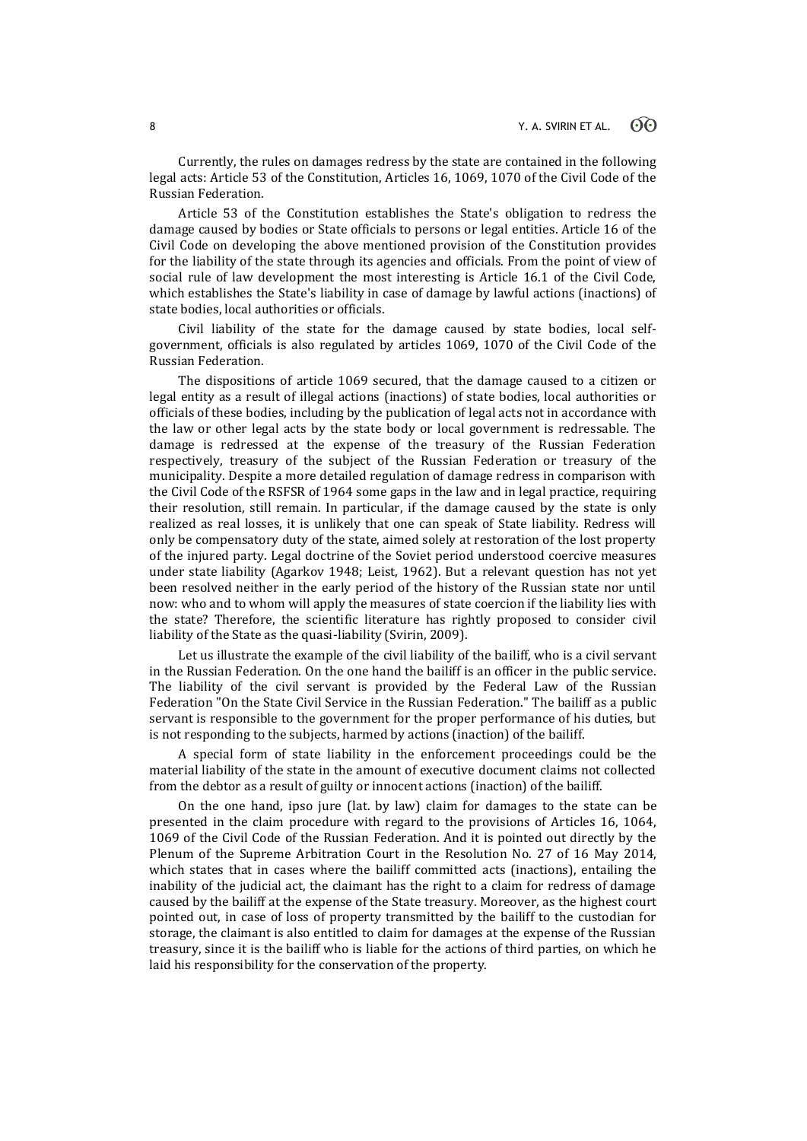Currently, the rules on damages redress by the state are contained in the following legal acts: Article 53 of the Constitution, Articles 16, 1069, 1070 of the Civil Code of the Russian Federation.

Article 53 of the Constitution establishes the State's obligation to redress the damage caused by bodies or State officials to persons or legal entities. Article 16 of the Civil Code on developing the above mentioned provision of the Constitution provides for the liability of the state through its agencies and officials. From the point of view of social rule of law development the most interesting is Article 16.1 of the Civil Code, which establishes the State's liability in case of damage by lawful actions (inactions) of state bodies, local authorities or officials.

Civil liability of the state for the damage caused by state bodies, local selfgovernment, officials is also regulated by articles 1069, 1070 of the Civil Code of the Russian Federation.

The dispositions of article 1069 secured, that the damage caused to a citizen or legal entity as a result of illegal actions (inactions) of state bodies, local authorities or officials of these bodies, including by the publication of legal acts not in accordance with the law or other legal acts by the state body or local government is redressable. The damage is redressed at the expense of the treasury of the Russian Federation respectively, treasury of the subject of the Russian Federation or treasury of the municipality. Despite a more detailed regulation of damage redress in comparison with the Civil Code of the RSFSR of 1964 some gaps in the law and in legal practice, requiring their resolution, still remain. In particular, if the damage caused by the state is only realized as real losses, it is unlikely that one can speak of State liability. Redress will only be compensatory duty of the state, aimed solely at restoration of the lost property of the injured party. Legal doctrine of the Soviet period understood coercive measures under state liability (Agarkov 1948; Leist, 1962). But a relevant question has not yet been resolved neither in the early period of the history of the Russian state nor until now: who and to whom will apply the measures of state coercion if the liability lies with the state? Therefore, the scientific literature has rightly proposed to consider civil liability of the State as the quasi-liability (Svirin, 2009).

Let us illustrate the example of the civil liability of the bailiff, who is a civil servant in the Russian Federation. On the one hand the bailiff is an officer in the public service. The liability of the civil servant is provided by the Federal Law of the Russian Federation "On the State Civil Service in the Russian Federation." The bailiff as a public servant is responsible to the government for the proper performance of his duties, but is not responding to the subjects, harmed by actions (inaction) of the bailiff.

A special form of state liability in the enforcement proceedings could be the material liability of the state in the amount of executive document claims not collected from the debtor as a result of guilty or innocent actions (inaction) of the bailiff.

On the one hand, ipso jure (lat. by law) claim for damages to the state can be presented in the claim procedure with regard to the provisions of Articles 16, 1064, 1069 of the Civil Code of the Russian Federation. And it is pointed out directly by the Plenum of the Supreme Arbitration Court in the Resolution No. 27 of 16 May 2014, which states that in cases where the bailiff committed acts (inactions), entailing the inability of the judicial act, the claimant has the right to a claim for redress of damage caused by the bailiff at the expense of the State treasury. Moreover, as the highest court pointed out, in case of loss of property transmitted by the bailiff to the custodian for storage, the claimant is also entitled to claim for damages at the expense of the Russian treasury, since it is the bailiff who is liable for the actions of third parties, on which he laid his responsibility for the conservation of the property.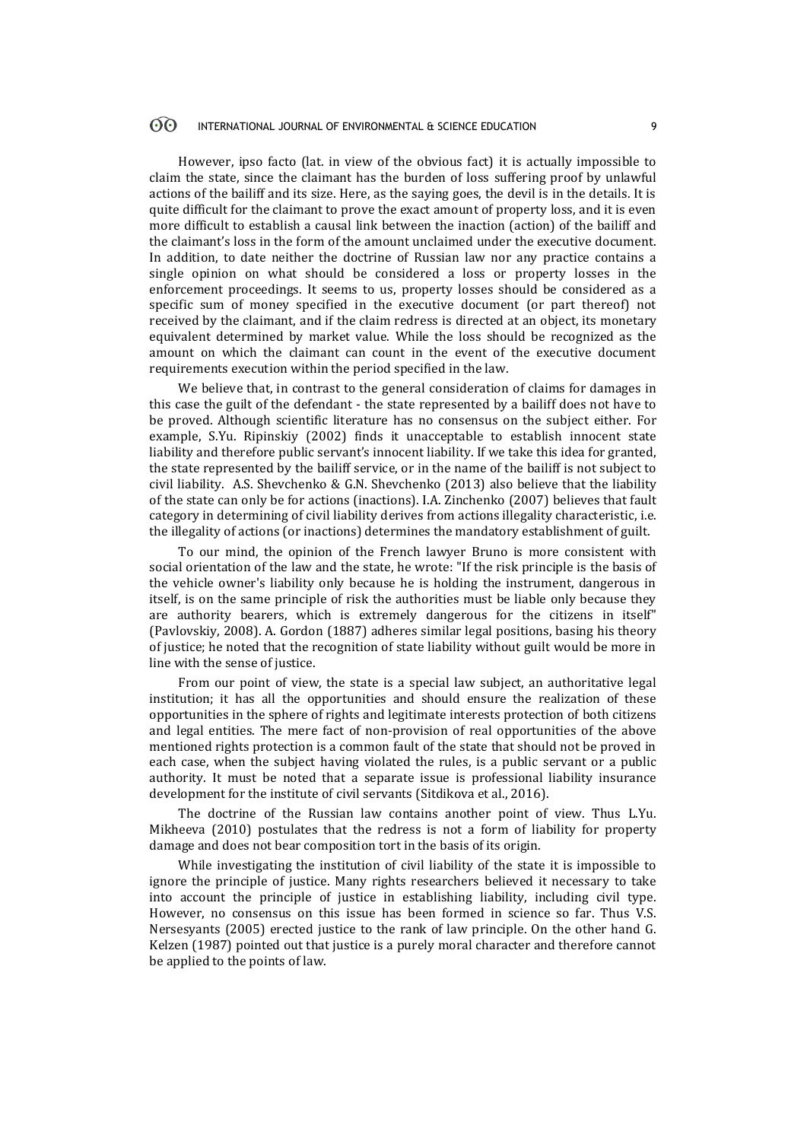#### $\odot$ INTERNATIONAL JOURNAL OF ENVIRONMENTAL & SCIENCE EDUCATION 9

However, ipso facto (lat. in view of the obvious fact) it is actually impossible to claim the state, since the claimant has the burden of loss suffering proof by unlawful actions of the bailiff and its size. Here, as the saying goes, the devil is in the details. It is quite difficult for the claimant to prove the exact amount of property loss, and it is even more difficult to establish a causal link between the inaction (action) of the bailiff and the claimant's loss in the form of the amount unclaimed under the executive document. In addition, to date neither the doctrine of Russian law nor any practice contains a single opinion on what should be considered a loss or property losses in the enforcement proceedings. It seems to us, property losses should be considered as a specific sum of money specified in the executive document (or part thereof) not received by the claimant, and if the claim redress is directed at an object, its monetary equivalent determined by market value. While the loss should be recognized as the amount on which the claimant can count in the event of the executive document requirements execution within the period specified in the law.

We believe that, in contrast to the general consideration of claims for damages in this case the guilt of the defendant - the state represented by a bailiff does not have to be proved. Although scientific literature has no consensus on the subject either. For example, S.Yu. Ripinskiy (2002) finds it unacceptable to establish innocent state liability and therefore public servant's innocent liability. If we take this idea for granted, the state represented by the bailiff service, or in the name of the bailiff is not subject to civil liability. A.S. Shevchenko & G.N. Shevchenko (2013) also believe that the liability of the state can only be for actions (inactions). I.A. Zinchenko (2007) believes that fault category in determining of civil liability derives from actions illegality characteristic, i.e. the illegality of actions (or inactions) determines the mandatory establishment of guilt.

To our mind, the opinion of the French lawyer Bruno is more consistent with social orientation of the law and the state, he wrote: "If the risk principle is the basis of the vehicle owner's liability only because he is holding the instrument, dangerous in itself, is on the same principle of risk the authorities must be liable only because they are authority bearers, which is extremely dangerous for the citizens in itself" (Pavlovskiy, 2008). A. Gordon (1887) adheres similar legal positions, basing his theory of justice; he noted that the recognition of state liability without guilt would be more in line with the sense of justice.

From our point of view, the state is a special law subject, an authoritative legal institution; it has all the opportunities and should ensure the realization of these opportunities in the sphere of rights and legitimate interests protection of both citizens and legal entities. The mere fact of non-provision of real opportunities of the above mentioned rights protection is a common fault of the state that should not be proved in each case, when the subject having violated the rules, is a public servant or a public authority. It must be noted that a separate issue is professional liability insurance development for the institute of civil servants (Sitdikova et al., 2016).

The doctrine of the Russian law contains another point of view. Thus L.Yu. Mikheeva (2010) postulates that the redress is not a form of liability for property damage and does not bear composition tort in the basis of its origin.

While investigating the institution of civil liability of the state it is impossible to ignore the principle of justice. Many rights researchers believed it necessary to take into account the principle of justice in establishing liability, including civil type. However, no consensus on this issue has been formed in science so far. Thus V.S. Nersesyants (2005) erected justice to the rank of law principle. On the other hand G. Kelzen (1987) pointed out that justice is a purely moral character and therefore cannot be applied to the points of law.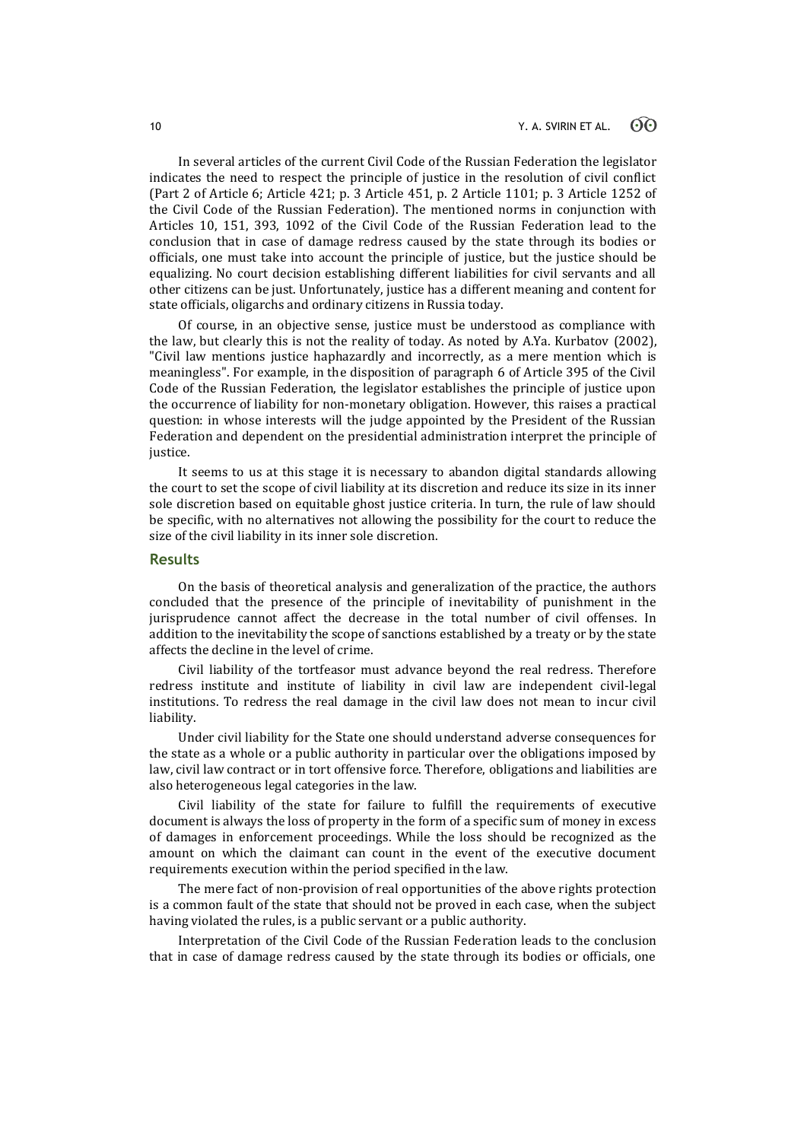In several articles of the current Civil Code of the Russian Federation the legislator indicates the need to respect the principle of justice in the resolution of civil conflict (Part 2 of Article 6; Article 421; p. 3 Article 451, p. 2 Article 1101; p. 3 Article 1252 of the Civil Code of the Russian Federation). The mentioned norms in conjunction with Articles 10, 151, 393, 1092 of the Civil Code of the Russian Federation lead to the conclusion that in case of damage redress caused by the state through its bodies or officials, one must take into account the principle of justice, but the justice should be equalizing. No court decision establishing different liabilities for civil servants and all other citizens can be just. Unfortunately, justice has a different meaning and content for state officials, oligarchs and ordinary citizens in Russia today.

Of course, in an objective sense, justice must be understood as compliance with the law, but clearly this is not the reality of today. As noted by A.Ya. Kurbatov (2002), "Civil law mentions justice haphazardly and incorrectly, as a mere mention which is meaningless". For example, in the disposition of paragraph 6 of Article 395 of the Civil Code of the Russian Federation, the legislator establishes the principle of justice upon the occurrence of liability for non-monetary obligation. However, this raises a practical question: in whose interests will the judge appointed by the President of the Russian Federation and dependent on the presidential administration interpret the principle of justice.

It seems to us at this stage it is necessary to abandon digital standards allowing the court to set the scope of civil liability at its discretion and reduce its size in its inner sole discretion based on equitable ghost justice criteria. In turn, the rule of law should be specific, with no alternatives not allowing the possibility for the court to reduce the size of the civil liability in its inner sole discretion.

### **Results**

On the basis of theoretical analysis and generalization of the practice, the authors concluded that the presence of the principle of inevitability of punishment in the jurisprudence cannot affect the decrease in the total number of civil offenses. In addition to the inevitability the scope of sanctions established by a treaty or by the state affects the decline in the level of crime.

Civil liability of the tortfeasor must advance beyond the real redress. Therefore redress institute and institute of liability in civil law are independent civil-legal institutions. To redress the real damage in the civil law does not mean to incur civil liability.

Under civil liability for the State one should understand adverse consequences for the state as a whole or a public authority in particular over the obligations imposed by law, civil law contract or in tort offensive force. Therefore, obligations and liabilities are also heterogeneous legal categories in the law.

Civil liability of the state for failure to fulfill the requirements of executive document is always the loss of property in the form of a specific sum of money in excess of damages in enforcement proceedings. While the loss should be recognized as the amount on which the claimant can count in the event of the executive document requirements execution within the period specified in the law.

The mere fact of non-provision of real opportunities of the above rights protection is a common fault of the state that should not be proved in each case, when the subject having violated the rules, is a public servant or a public authority.

Interpretation of the Civil Code of the Russian Federation leads to the conclusion that in case of damage redress caused by the state through its bodies or officials, one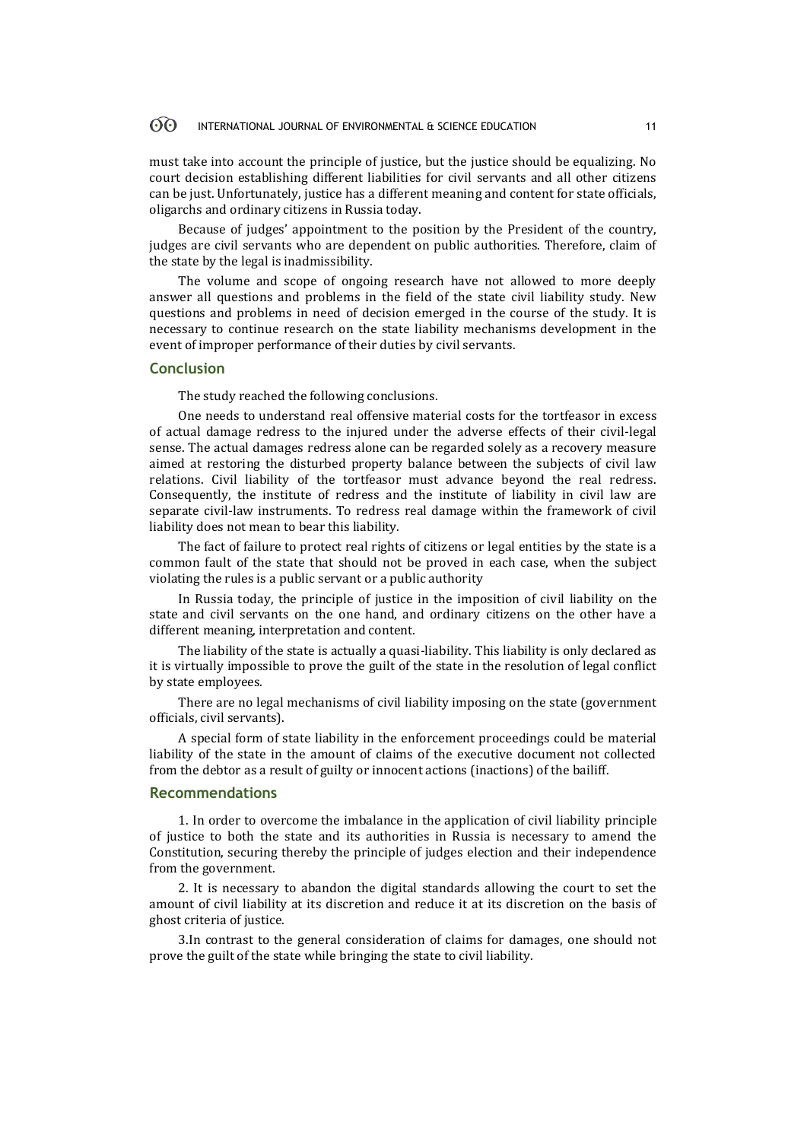#### 60 INTERNATIONAL JOURNAL OF ENVIRONMENTAL & SCIENCE EDUCATION 11

must take into account the principle of justice, but the justice should be equalizing. No court decision establishing different liabilities for civil servants and all other citizens can be just. Unfortunately, justice has a different meaning and content for state officials, oligarchs and ordinary citizens in Russia today.

Because of judges' appointment to the position by the President of the country, judges are civil servants who are dependent on public authorities. Therefore, claim of the state by the legal is inadmissibility.

The volume and scope of ongoing research have not allowed to more deeply answer all questions and problems in the field of the state civil liability study. New questions and problems in need of decision emerged in the course of the study. It is necessary to continue research on the state liability mechanisms development in the event of improper performance of their duties by civil servants.

### **Conclusion**

The study reached the following conclusions.

One needs to understand real offensive material costs for the tortfeasor in excess of actual damage redress to the injured under the adverse effects of their civil-legal sense. The actual damages redress alone can be regarded solely as a recovery measure aimed at restoring the disturbed property balance between the subjects of civil law relations. Civil liability of the tortfeasor must advance beyond the real redress. Consequently, the institute of redress and the institute of liability in civil law are separate civil-law instruments. To redress real damage within the framework of civil liability does not mean to bear this liability.

The fact of failure to protect real rights of citizens or legal entities by the state is a common fault of the state that should not be proved in each case, when the subject violating the rules is a public servant or a public authority

In Russia today, the principle of justice in the imposition of civil liability on the state and civil servants on the one hand, and ordinary citizens on the other have a different meaning, interpretation and content.

The liability of the state is actually a quasi-liability. This liability is only declared as it is virtually impossible to prove the guilt of the state in the resolution of legal conflict by state employees.

There are no legal mechanisms of civil liability imposing on the state (government officials, civil servants).

A special form of state liability in the enforcement proceedings could be material liability of the state in the amount of claims of the executive document not collected from the debtor as a result of guilty or innocent actions (inactions) of the bailiff.

### **Recommendations**

1. In order to overcome the imbalance in the application of civil liability principle of justice to both the state and its authorities in Russia is necessary to amend the Constitution, securing thereby the principle of judges election and their independence from the government.

2. It is necessary to abandon the digital standards allowing the court to set the amount of civil liability at its discretion and reduce it at its discretion on the basis of ghost criteria of justice.

3.In contrast to the general consideration of claims for damages, one should not prove the guilt of the state while bringing the state to civil liability.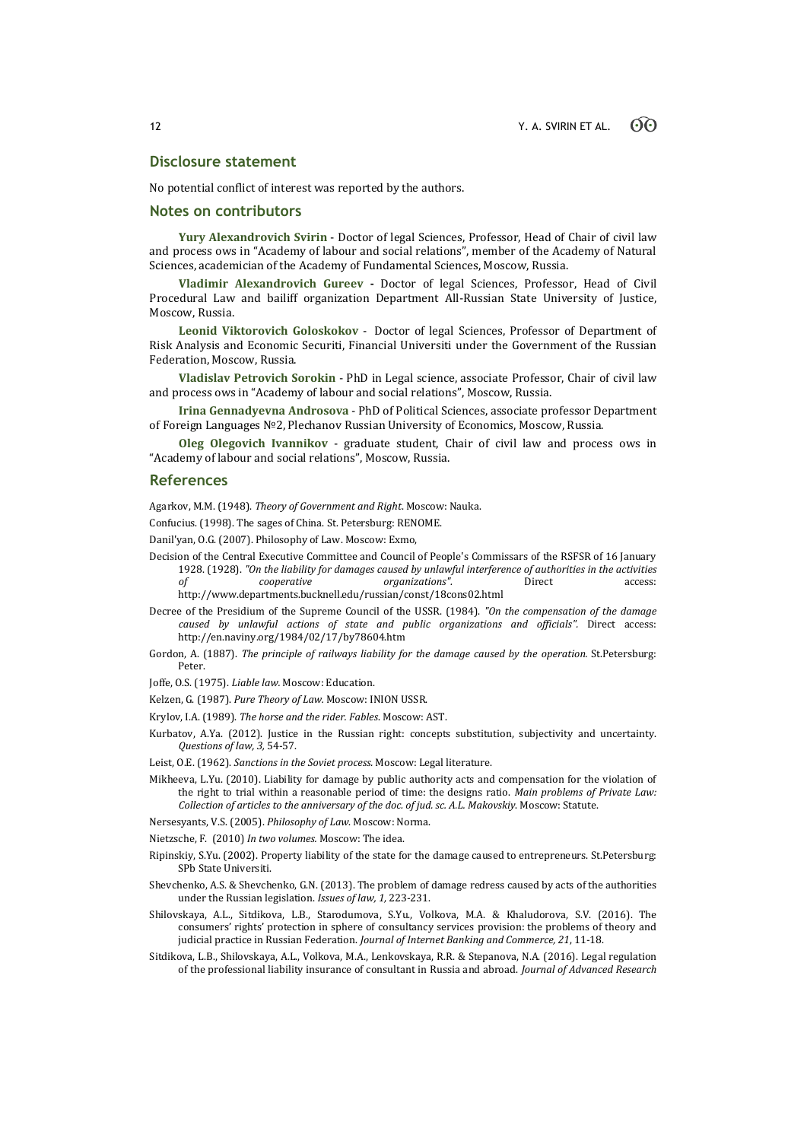### **Disclosure statement**

No potential conflict of interest was reported by the authors.

### **Notes on contributors**

**Yury Alexandrovich Svirin** - Doctor of legal Sciences, Professor, Head of Chair of civil law and process ows in "Academy of labour and social relations", member of the Academy of Natural Sciences, academician of the Academy of Fundamental Sciences, Moscow, Russia.

**Vladimir Alexandrovich Gureev -** Doctor of legal Sciences, Professor, Head of Civil Procedural Law and bailiff organization Department All-Russian State University of Justice, Moscow, Russia.

**Leonid Viktorovich Goloskokov** - Doctor of legal Sciences, Professor of Department of Risk Analysis and Economic Securiti, Financial Universiti under the Government of the Russian Federation, Moscow, Russia.

**Vladislav Petrovich Sorokin** - PhD in Legal science, associate Professor, Chair of civil law and process ows in "Academy of labour and social relations", Moscow, Russia.

**Irina Gennadyevna Androsova** - PhD of Political Sciences, associate professor Department of Foreign Languages №2, Plechanov Russian University of Economics, Moscow, Russia.

**Oleg Olegovich Ivannikov** - graduate student, Chair of civil law and process ows in "Academy of labour and social relations", Moscow, Russia.

### **References**

Agarkov, M.M. (1948). *Theory of Government and Right*. Moscow: Nauka.

Confucius. (1998). The sages of China. St. Petersburg: RENOME.

Danil'yan, O.G. (2007). Philosophy of Law. Moscow: Exmo,

- Decision of the Central Executive Committee and Council of People's Commissars of the RSFSR of 16 January 1928. (1928). *"On the liability for damages caused by unlawful interference of authorities in the activities of cooperative organizations".* Direct access: http://www.departments.bucknell.edu/russian/const/18cons02.html
- Decree of the Presidium of the Supreme Council of the USSR. (1984). *"On the compensation of the damage caused by unlawful actions of state and public organizations and officials".* Direct access: http://en.naviny.org/1984/02/17/by78604.htm
- Gordon, A. (1887). *The principle of railways liability for the damage caused by the operation.* St.Petersburg: Peter.

Joffe, O.S. (1975). *Liable law.* Moscow: Education.

Kelzen, G. (1987). *Pure Theory of Law.* Moscow: INION USSR.

Krylov, I.A. (1989). *The horse and the rider. Fables*. Moscow: AST.

Kurbatov, A.Ya. (2012). Justice in the Russian right: concepts substitution, subjectivity and uncertainty. *Questions of law, 3,* 54-57.

Leist, O.E. (1962). *Sanctions in the Soviet process.* Moscow: Legal literature.

Mikheeva, L.Yu. (2010). Liability for damage by public authority acts and compensation for the violation of the right to trial within a reasonable period of time: the designs ratio. *Main problems of Private Law: Collection of articles to the anniversary of the doc. of jud. sc. A.L. Makovskiy*. Moscow: Statute.

Nersesyants, V.S. (2005). *Philosophy of Law*. Moscow: Norma.

- Nietzsche, F. (2010) *In two volumes.* Moscow: The idea.
- Ripinskiy, S.Yu. (2002). Property liability of the state for the damage caused to entrepreneurs. St.Petersburg: SPb State Universiti.
- Shevchenko, A.S. & Shevchenko, G.N. (2013). The problem of damage redress caused by acts of the authorities under the Russian legislation. *Issues of law, 1,* 223-231.
- Shilovskaya, A.L., Sitdikova, L.B., Starodumova, S.Yu., Volkova, M.A. & Khaludorova, S.V. (2016). The consumers' rights' protection in sphere of consultancy services provision: the problems of theory and judicial practice in Russian Federation. *Journal of Internet Banking and Commerce, 21*, 11-18.
- Sitdikova, L.B., Shilovskaya, A.L., Volkova, M.A., Lenkovskaya, R.R. & Stepanova, N.A. (2016). Legal regulation of the professional liability insurance of consultant in Russia and abroad. *Journal of Advanced Research*